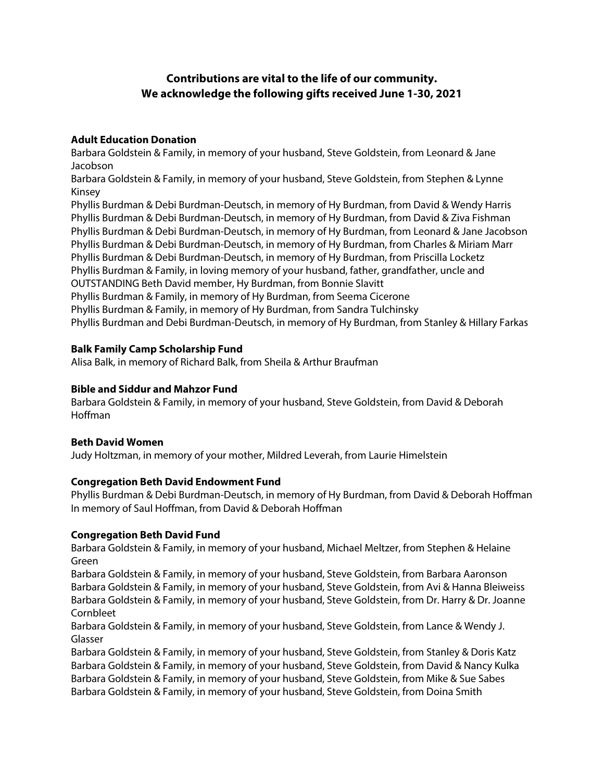# **Contributions are vital to the life of our community. We acknowledge the following gifts received June 1-30, 2021**

#### **Adult Education Donation**

Barbara Goldstein & Family, in memory of your husband, Steve Goldstein, from Leonard & Jane Jacobson

Barbara Goldstein & Family, in memory of your husband, Steve Goldstein, from Stephen & Lynne Kinsey

Phyllis Burdman & Debi Burdman-Deutsch, in memory of Hy Burdman, from David & Wendy Harris Phyllis Burdman & Debi Burdman-Deutsch, in memory of Hy Burdman, from David & Ziva Fishman Phyllis Burdman & Debi Burdman-Deutsch, in memory of Hy Burdman, from Leonard & Jane Jacobson Phyllis Burdman & Debi Burdman-Deutsch, in memory of Hy Burdman, from Charles & Miriam Marr Phyllis Burdman & Debi Burdman-Deutsch, in memory of Hy Burdman, from Priscilla Locketz Phyllis Burdman & Family, in loving memory of your husband, father, grandfather, uncle and OUTSTANDING Beth David member, Hy Burdman, from Bonnie Slavitt Phyllis Burdman & Family, in memory of Hy Burdman, from Seema Cicerone Phyllis Burdman & Family, in memory of Hy Burdman, from Sandra Tulchinsky Phyllis Burdman and Debi Burdman-Deutsch, in memory of Hy Burdman, from Stanley & Hillary Farkas

# **Balk Family Camp Scholarship Fund**

Alisa Balk, in memory of Richard Balk, from Sheila & Arthur Braufman

#### **Bible and Siddur and Mahzor Fund**

Barbara Goldstein & Family, in memory of your husband, Steve Goldstein, from David & Deborah Hoffman

#### **Beth David Women**

Judy Holtzman, in memory of your mother, Mildred Leverah, from Laurie Himelstein

# **Congregation Beth David Endowment Fund**

Phyllis Burdman & Debi Burdman-Deutsch, in memory of Hy Burdman, from David & Deborah Hoffman In memory of Saul Hoffman, from David & Deborah Hoffman

# **Congregation Beth David Fund**

Barbara Goldstein & Family, in memory of your husband, Michael Meltzer, from Stephen & Helaine Green

Barbara Goldstein & Family, in memory of your husband, Steve Goldstein, from Barbara Aaronson Barbara Goldstein & Family, in memory of your husband, Steve Goldstein, from Avi & Hanna Bleiweiss Barbara Goldstein & Family, in memory of your husband, Steve Goldstein, from Dr. Harry & Dr. Joanne Cornbleet

Barbara Goldstein & Family, in memory of your husband, Steve Goldstein, from Lance & Wendy J. Glasser

Barbara Goldstein & Family, in memory of your husband, Steve Goldstein, from Stanley & Doris Katz Barbara Goldstein & Family, in memory of your husband, Steve Goldstein, from David & Nancy Kulka Barbara Goldstein & Family, in memory of your husband, Steve Goldstein, from Mike & Sue Sabes Barbara Goldstein & Family, in memory of your husband, Steve Goldstein, from Doina Smith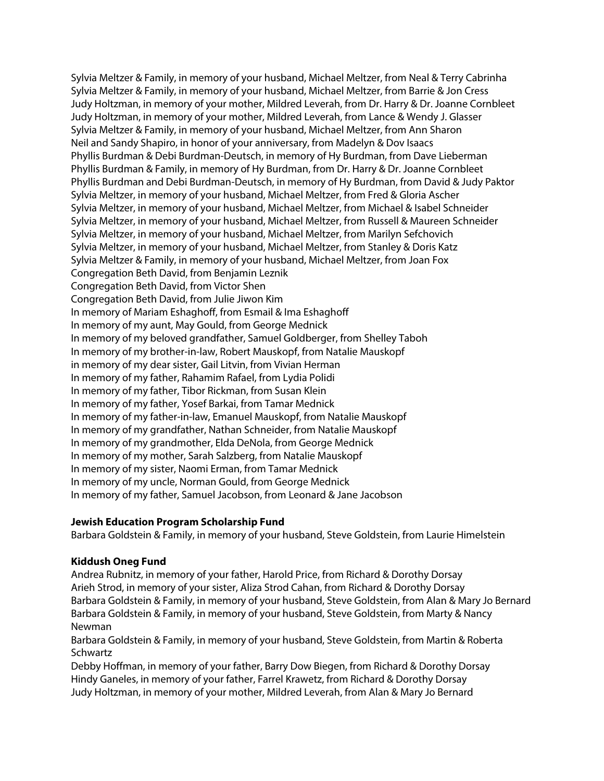Sylvia Meltzer & Family, in memory of your husband, Michael Meltzer, from Neal & Terry Cabrinha Sylvia Meltzer & Family, in memory of your husband, Michael Meltzer, from Barrie & Jon Cress Judy Holtzman, in memory of your mother, Mildred Leverah, from Dr. Harry & Dr. Joanne Cornbleet Judy Holtzman, in memory of your mother, Mildred Leverah, from Lance & Wendy J. Glasser Sylvia Meltzer & Family, in memory of your husband, Michael Meltzer, from Ann Sharon Neil and Sandy Shapiro, in honor of your anniversary, from Madelyn & Dov Isaacs Phyllis Burdman & Debi Burdman-Deutsch, in memory of Hy Burdman, from Dave Lieberman Phyllis Burdman & Family, in memory of Hy Burdman, from Dr. Harry & Dr. Joanne Cornbleet Phyllis Burdman and Debi Burdman-Deutsch, in memory of Hy Burdman, from David & Judy Paktor Sylvia Meltzer, in memory of your husband, Michael Meltzer, from Fred & Gloria Ascher Sylvia Meltzer, in memory of your husband, Michael Meltzer, from Michael & Isabel Schneider Sylvia Meltzer, in memory of your husband, Michael Meltzer, from Russell & Maureen Schneider Sylvia Meltzer, in memory of your husband, Michael Meltzer, from Marilyn Sefchovich Sylvia Meltzer, in memory of your husband, Michael Meltzer, from Stanley & Doris Katz Sylvia Meltzer & Family, in memory of your husband, Michael Meltzer, from Joan Fox Congregation Beth David, from Benjamin Leznik Congregation Beth David, from Victor Shen Congregation Beth David, from Julie Jiwon Kim In memory of Mariam Eshaghoff, from Esmail & Ima Eshaghoff In memory of my aunt, May Gould, from George Mednick In memory of my beloved grandfather, Samuel Goldberger, from Shelley Taboh In memory of my brother-in-law, Robert Mauskopf, from Natalie Mauskopf in memory of my dear sister, Gail Litvin, from Vivian Herman In memory of my father, Rahamim Rafael, from Lydia Polidi In memory of my father, Tibor Rickman, from Susan Klein In memory of my father, Yosef Barkai, from Tamar Mednick In memory of my father-in-law, Emanuel Mauskopf, from Natalie Mauskopf In memory of my grandfather, Nathan Schneider, from Natalie Mauskopf In memory of my grandmother, Elda DeNola, from George Mednick In memory of my mother, Sarah Salzberg, from Natalie Mauskopf In memory of my sister, Naomi Erman, from Tamar Mednick In memory of my uncle, Norman Gould, from George Mednick In memory of my father, Samuel Jacobson, from Leonard & Jane Jacobson

#### **Jewish Education Program Scholarship Fund**

Barbara Goldstein & Family, in memory of your husband, Steve Goldstein, from Laurie Himelstein

#### **Kiddush Oneg Fund**

Andrea Rubnitz, in memory of your father, Harold Price, from Richard & Dorothy Dorsay Arieh Strod, in memory of your sister, Aliza Strod Cahan, from Richard & Dorothy Dorsay Barbara Goldstein & Family, in memory of your husband, Steve Goldstein, from Alan & Mary Jo Bernard Barbara Goldstein & Family, in memory of your husband, Steve Goldstein, from Marty & Nancy Newman

Barbara Goldstein & Family, in memory of your husband, Steve Goldstein, from Martin & Roberta **Schwartz** 

Debby Hoffman, in memory of your father, Barry Dow Biegen, from Richard & Dorothy Dorsay Hindy Ganeles, in memory of your father, Farrel Krawetz, from Richard & Dorothy Dorsay Judy Holtzman, in memory of your mother, Mildred Leverah, from Alan & Mary Jo Bernard